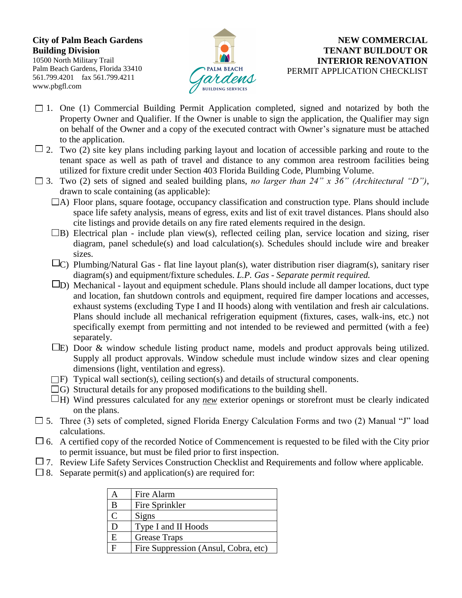## **City of Palm Beach Gardens Building Division**

10500 North Military Trail Palm Beach Gardens, Florida 33410 561.799.4201 fax 561.799.4211 www.pbgfl.com



## **NEW COMMERCIAL TENANT BUILDOUT OR INTERIOR RENOVATION** PERMIT APPLICATION CHECKLIST

- $\Box$  1. One (1) Commercial Building Permit Application completed, signed and notarized by both the Property Owner and Qualifier. If the Owner is unable to sign the application, the Qualifier may sign on behalf of the Owner and a copy of the executed contract with Owner's signature must be attached to the application.
- $\Box$  2. Two (2) site key plans including parking layout and location of accessible parking and route to the tenant space as well as path of travel and distance to any common area restroom facilities being utilized for fixture credit under Section 403 Florida Building Code, Plumbing Volume.
- $\Box$  3. Two (2) sets of signed and sealed building plans, *no larger than 24" x 36" (Architectural "D")*, drawn to scale containing (as applicable):
	- $\Box$ A) Floor plans, square footage, occupancy classification and construction type. Plans should include space life safety analysis, means of egress, exits and list of exit travel distances. Plans should also cite listings and provide details on any fire rated elements required in the design.
	- $\Box$ B) Electrical plan include plan view(s), reflected ceiling plan, service location and sizing, riser diagram, panel schedule(s) and load calculation(s). Schedules should include wire and breaker sizes.
	- $\Box$ C) Plumbing/Natural Gas flat line layout plan(s), water distribution riser diagram(s), sanitary riser diagram(s) and equipment/fixture schedules. *L.P. Gas - Separate permit required.*
	- $\square$ D) Mechanical layout and equipment schedule. Plans should include all damper locations, duct type and location, fan shutdown controls and equipment, required fire damper locations and accesses, exhaust systems (excluding Type I and II hoods) along with ventilation and fresh air calculations. Plans should include all mechanical refrigeration equipment (fixtures, cases, walk-ins, etc.) not specifically exempt from permitting and not intended to be reviewed and permitted (with a fee) separately.
	- $\square$ E) Door & window schedule listing product name, models and product approvals being utilized. Supply all product approvals. Window schedule must include window sizes and clear opening dimensions (light, ventilation and egress).
	- $\Box$ F) Typical wall section(s), ceiling section(s) and details of structural components.
	- $\Box$ G) Structural details for any proposed modifications to the building shell.
	- $\Box$ H) Wind pressures calculated for any *new* exterior openings or storefront must be clearly indicated on the plans.
- $\Box$  5. Three (3) sets of completed, signed Florida Energy Calculation Forms and two (2) Manual "J" load calculations.
- $\Box$  6. A certified copy of the recorded Notice of Commencement is requested to be filed with the City prior to permit issuance, but must be filed prior to first inspection.
- $\Box$  7. Review Life Safety Services Construction Checklist and Requirements and follow where applicable.
- $\Box$  8. Separate permit(s) and application(s) are required for:

|               | Fire Alarm                           |
|---------------|--------------------------------------|
| B             | Fire Sprinkler                       |
| $\mathcal{C}$ | Signs                                |
| Ð             | Type I and II Hoods                  |
| E             | <b>Grease Traps</b>                  |
| Е             | Fire Suppression (Ansul, Cobra, etc) |